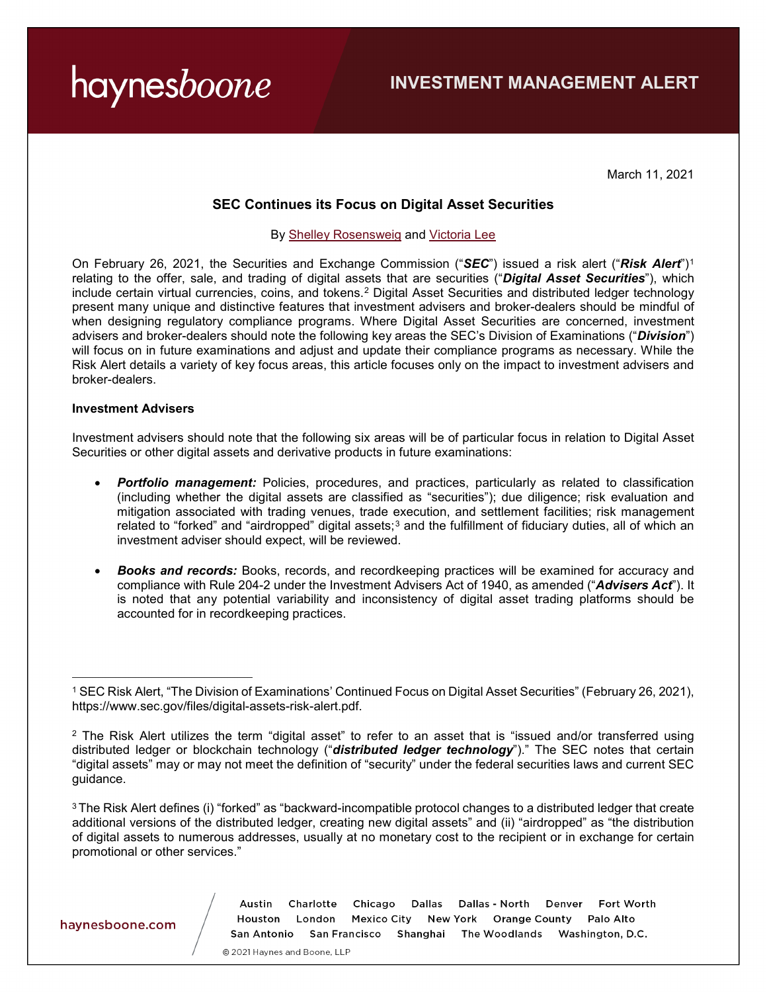haynesboone

March 11, 2021

### **SEC Continues its Focus on Digital Asset Securities**

#### By [Shelley Rosensweig](https://www.haynesboone.com/people/r/rosensweig-shelley) and [Victoria Lee](https://www.haynesboone.com/people/l/lee-victoria)

On February 26, 2021, the Securities and Exchange Commission ("*SEC*") issued a risk alert ("*Risk Alert*")[1](#page-0-0) relating to the offer, sale, and trading of digital assets that are securities ("*Digital Asset Securities*"), which include certain virtual currencies, coins, and tokens.[2](#page-0-1) Digital Asset Securities and distributed ledger technology present many unique and distinctive features that investment advisers and broker-dealers should be mindful of when designing regulatory compliance programs. Where Digital Asset Securities are concerned, investment advisers and broker-dealers should note the following key areas the SEC's Division of Examinations ("*Division*") will focus on in future examinations and adjust and update their compliance programs as necessary. While the Risk Alert details a variety of key focus areas, this article focuses only on the impact to investment advisers and broker-dealers.

#### **Investment Advisers**

Investment advisers should note that the following six areas will be of particular focus in relation to Digital Asset Securities or other digital assets and derivative products in future examinations:

- *Portfolio management:* Policies, procedures, and practices, particularly as related to classification (including whether the digital assets are classified as "securities"); due diligence; risk evaluation and mitigation associated with trading venues, trade execution, and settlement facilities; risk management related to "forked" and "airdropped" digital assets;<sup>[3](#page-0-2)</sup> and the fulfillment of fiduciary duties, all of which an investment adviser should expect, will be reviewed.
- *Books and records:* Books, records, and recordkeeping practices will be examined for accuracy and compliance with Rule 204-2 under the Investment Advisers Act of 1940, as amended ("*Advisers Act*"). It is noted that any potential variability and inconsistency of digital asset trading platforms should be accounted for in recordkeeping practices.

haynesboone.com

 $\overline{a}$ 

Charlotte Chicago Dallas Dallas - North Fort Worth Austin Denver Houston London Mexico City New York Orange County Palo Alto San Antonio San Francisco Shanghai The Woodlands Washington, D.C.

<span id="page-0-0"></span><sup>1</sup> SEC Risk Alert, "The Division of Examinations' Continued Focus on Digital Asset Securities" (February 26, 2021), [https://www.sec.gov/files/digital-assets-risk-alert.pdf.](https://www.sec.gov/files/digital-assets-risk-alert.pdf)

<span id="page-0-1"></span> $2$  The Risk Alert utilizes the term "digital asset" to refer to an asset that is "issued and/or transferred using distributed ledger or blockchain technology ("*distributed ledger technology*")." The SEC notes that certain "digital assets" may or may not meet the definition of "security" under the federal securities laws and current SEC guidance.

<span id="page-0-2"></span><sup>3</sup> The Risk Alert defines (i) "forked" as "backward-incompatible protocol changes to a distributed ledger that create additional versions of the distributed ledger, creating new digital assets" and (ii) "airdropped" as "the distribution of digital assets to numerous addresses, usually at no monetary cost to the recipient or in exchange for certain promotional or other services."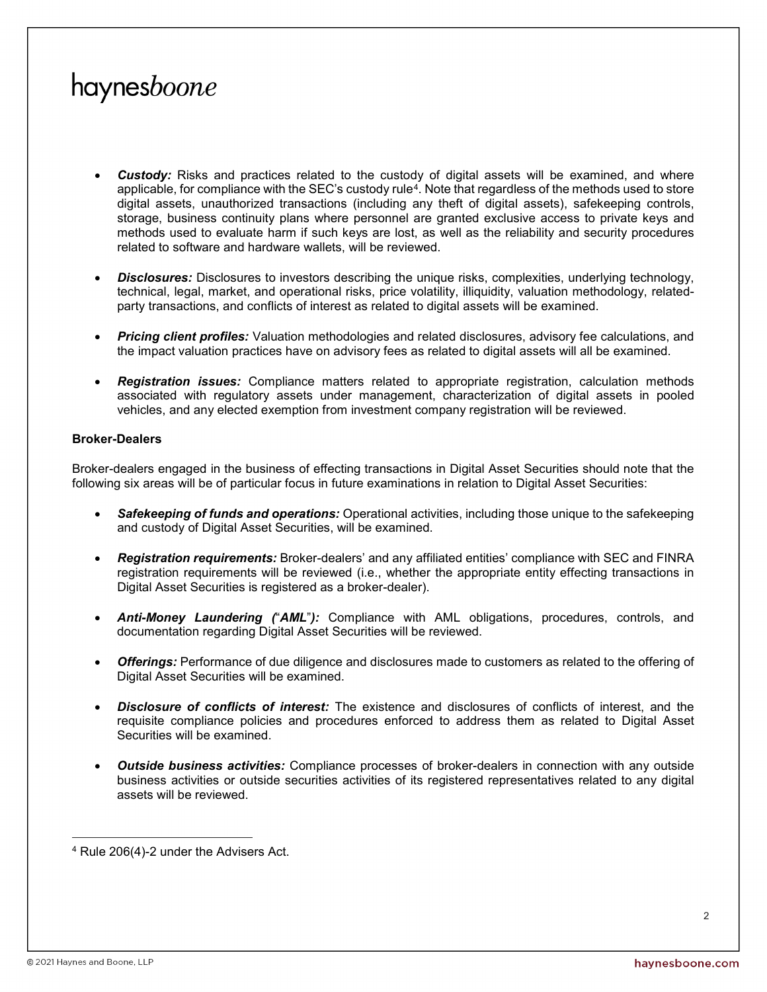# haynesboone

- *Custody:* Risks and practices related to the custody of digital assets will be examined, and where applicable, for compliance with the SEC's custody rule<sup>[4](#page-1-0)</sup>. Note that regardless of the methods used to store digital assets, unauthorized transactions (including any theft of digital assets), safekeeping controls, storage, business continuity plans where personnel are granted exclusive access to private keys and methods used to evaluate harm if such keys are lost, as well as the reliability and security procedures related to software and hardware wallets, will be reviewed.
- *Disclosures:* Disclosures to investors describing the unique risks, complexities, underlying technology, technical, legal, market, and operational risks, price volatility, illiquidity, valuation methodology, relatedparty transactions, and conflicts of interest as related to digital assets will be examined.
- **Pricing client profiles:** Valuation methodologies and related disclosures, advisory fee calculations, and the impact valuation practices have on advisory fees as related to digital assets will all be examined.
- *Registration issues:* Compliance matters related to appropriate registration, calculation methods associated with regulatory assets under management, characterization of digital assets in pooled vehicles, and any elected exemption from investment company registration will be reviewed.

### **Broker-Dealers**

Broker-dealers engaged in the business of effecting transactions in Digital Asset Securities should note that the following six areas will be of particular focus in future examinations in relation to Digital Asset Securities:

- *Safekeeping of funds and operations:* Operational activities, including those unique to the safekeeping and custody of Digital Asset Securities, will be examined.
- *Registration requirements:* Broker-dealers' and any affiliated entities' compliance with SEC and FINRA registration requirements will be reviewed (i.e., whether the appropriate entity effecting transactions in Digital Asset Securities is registered as a broker-dealer).
- *Anti-Money Laundering (*"*AML*"*):* Compliance with AML obligations, procedures, controls, and documentation regarding Digital Asset Securities will be reviewed.
- *Offerings:* Performance of due diligence and disclosures made to customers as related to the offering of Digital Asset Securities will be examined.
- *Disclosure of conflicts of interest:* The existence and disclosures of conflicts of interest, and the requisite compliance policies and procedures enforced to address them as related to Digital Asset Securities will be examined.
- *Outside business activities:* Compliance processes of broker-dealers in connection with any outside business activities or outside securities activities of its registered representatives related to any digital assets will be reviewed.

<span id="page-1-0"></span> $\overline{a}$ <sup>4</sup> Rule 206(4)-2 under the Advisers Act.